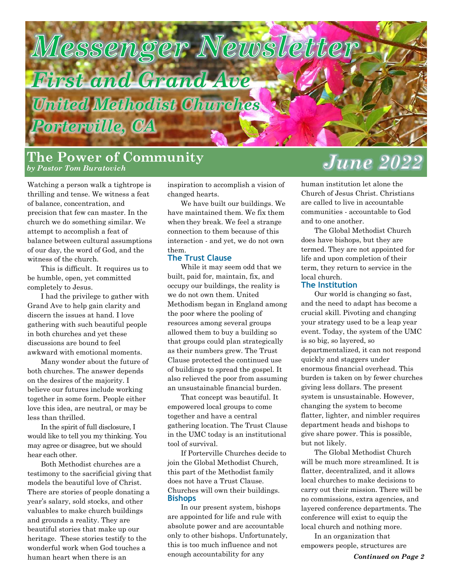

Watching a person walk a tightrope is thrilling and tense. We witness a feat of balance, concentration, and precision that few can master. In the church we do something similar. We attempt to accomplish a feat of balance between cultural assumptions of our day, the word of God, and the witness of the church.

This is difficult. It requires us to be humble, open, yet committed completely to Jesus.

I had the privilege to gather with Grand Ave to help gain clarity and discern the issues at hand. I love gathering with such beautiful people in both churches and yet these discussions are bound to feel awkward with emotional moments.

Many wonder about the future of both churches. The answer depends on the desires of the majority. I believe our futures include working together in some form. People either love this idea, are neutral, or may be less than thrilled.

In the spirit of full disclosure, I would like to tell you my thinking. You may agree or disagree, but we should hear each other.

Both Methodist churches are a testimony to the sacrificial giving that models the beautiful love of Christ. There are stories of people donating a year's salary, sold stocks, and other valuables to make church buildings and grounds a reality. They are beautiful stories that make up our heritage. These stories testify to the wonderful work when God touches a human heart when there is an

inspiration to accomplish a vision of changed hearts.

We have built our buildings. We have maintained them. We fix them when they break. We feel a strange connection to them because of this interaction - and yet, we do not own them.

#### **The Trust Clause**

While it may seem odd that we built, paid for, maintain, fix, and occupy our buildings, the reality is we do not own them. United Methodism began in England among the poor where the pooling of resources among several groups allowed them to buy a building so that groups could plan strategically as their numbers grew. The Trust Clause protected the continued use of buildings to spread the gospel. It also relieved the poor from assuming an unsustainable financial burden.

That concept was beautiful. It empowered local groups to come together and have a central gathering location. The Trust Clause in the UMC today is an institutional tool of survival.

If Porterville Churches decide to join the Global Methodist Church, this part of the Methodist family does not have a Trust Clause. Churches will own their buildings. **Bishops**

In our present system, bishops are appointed for life and rule with absolute power and are accountable only to other bishops. Unfortunately, this is too much influence and not enough accountability for any

# **The Power of Community** *by Pastor Tom Buratovich June 2022*

human institution let alone the Church of Jesus Christ. Christians are called to live in accountable communities - accountable to God and to one another.

The Global Methodist Church does have bishops, but they are termed. They are not appointed for life and upon completion of their term, they return to service in the local church.

#### **The Institution**

Our world is changing so fast, and the need to adapt has become a crucial skill. Pivoting and changing your strategy used to be a leap year event. Today, the system of the UMC is so big, so layered, so departmentalized, it can not respond quickly and staggers under enormous financial overhead. This burden is taken on by fewer churches giving less dollars. The present system is unsustainable. However, changing the system to become flatter, lighter, and nimbler requires department heads and bishops to give share power. This is possible, but not likely.

The Global Methodist Church will be much more streamlined. It is flatter, decentralized, and it allows local churches to make decisions to carry out their mission. There will be no commissions, extra agencies, and layered conference departments. The conference will exist to equip the local church and nothing more.

In an organization that empowers people, structures are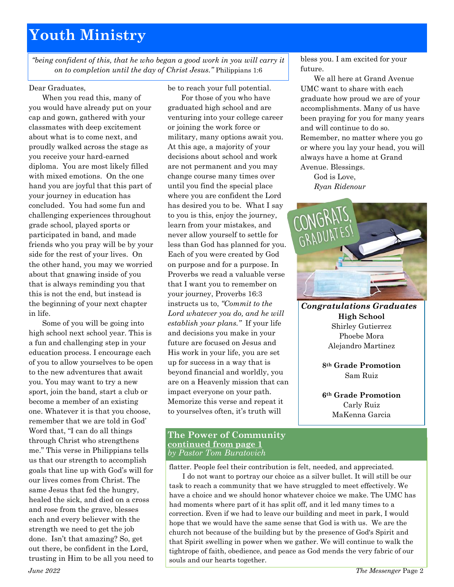# **Youth Ministry**

*"being confident of this, that he who began a good work in you will carry it on to completion until the day of Christ Jesus."* Philippians 1:6

#### Dear Graduates,

When you read this, many of you would have already put on your cap and gown, gathered with your classmates with deep excitement about what is to come next, and proudly walked across the stage as you receive your hard-earned diploma. You are most likely filled with mixed emotions. On the one hand you are joyful that this part of your journey in education has concluded. You had some fun and challenging experiences throughout grade school, played sports or participated in band, and made friends who you pray will be by your side for the rest of your lives. On the other hand, you may we worried about that gnawing inside of you that is always reminding you that this is not the end, but instead is the beginning of your next chapter in life.

Some of you will be going into high school next school year. This is a fun and challenging step in your education process. I encourage each of you to allow yourselves to be open to the new adventures that await you. You may want to try a new sport, join the band, start a club or become a member of an existing one. Whatever it is that you choose, remember that we are told in God' Word that, "I can do all things through Christ who strengthens me." This verse in Philippians tells us that our strength to accomplish goals that line up with God's will for our lives comes from Christ. The same Jesus that fed the hungry, healed the sick, and died on a cross and rose from the grave, blesses each and every believer with the strength we need to get the job done. Isn't that amazing? So, get out there, be confident in the Lord, trusting in Him to be all you need to

be to reach your full potential.

For those of you who have graduated high school and are venturing into your college career or joining the work force or military, many options await you. At this age, a majority of your decisions about school and work are not permanent and you may change course many times over until you find the special place where you are confident the Lord has desired you to be. What I say to you is this, enjoy the journey, learn from your mistakes, and never allow yourself to settle for less than God has planned for you. Each of you were created by God on purpose and for a purpose. In Proverbs we read a valuable verse that I want you to remember on your journey, Proverbs 16:3 instructs us to, *"Commit to the Lord whatever you do, and he will establish your plans."* If your life and decisions you make in your future are focused on Jesus and His work in your life, you are set up for success in a way that is beyond financial and worldly, you are on a Heavenly mission that can impact everyone on your path. Memorize this verse and repeat it to yourselves often, it's truth will

#### **The Power of Community continued from page 1** *by Pastor Tom Buratovich*

flatter. People feel their contribution is felt, needed, and appreciated.

I do not want to portray our choice as a silver bullet. It will still be our task to reach a community that we have struggled to meet effectively. We have a choice and we should honor whatever choice we make. The UMC has had moments where part of it has split off, and it led many times to a correction. Even if we had to leave our building and meet in park, I would hope that we would have the same sense that God is with us. We are the church not because of the building but by the presence of God's Spirit and that Spirit swelling in power when we gather. We will continue to walk the tightrope of faith, obedience, and peace as God mends the very fabric of our souls and our hearts together.

bless you. I am excited for your future.

We all here at Grand Avenue UMC want to share with each graduate how proud we are of your accomplishments. Many of us have been praying for you for many years and will continue to do so. Remember, no matter where you go or where you lay your head, you will always have a home at Grand Avenue. Blessings.

God is Love, *Ryan Ridenour*



*Congratulations Graduates* **High School** Shirley Gutierrez Phoebe Mora Alejandro Martinez

> **8th Grade Promotion** Sam Ruiz

> **6th Grade Promotion** Carly Ruiz MaKenna Garcia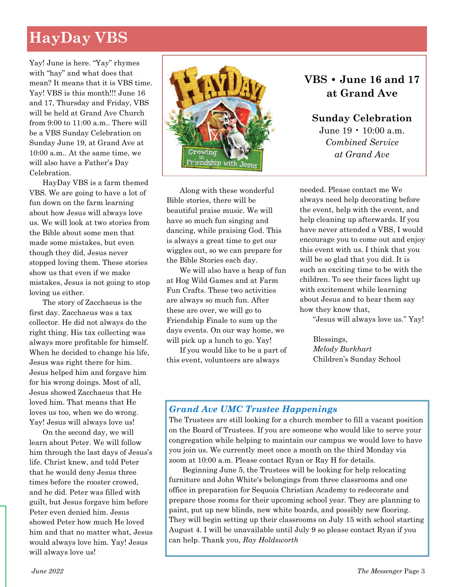# **HayDay VBS**

Yay! June is here. "Yay" rhymes with "hay" and what does that mean? It means that it is VBS time. Yay! VBS is this month!!! June 16 and 17, Thursday and Friday, VBS will be held at Grand Ave Church from 9:00 to 11:00 a.m.. There will be a VBS Sunday Celebration on Sunday June 19, at Grand Ave at 10:00 a.m.. At the same time, we will also have a Father's Day Celebration.

HayDay VBS is a farm themed VBS. We are going to have a lot of fun down on the farm learning about how Jesus will always love us. We will look at two stories from the Bible about some men that made some mistakes, but even though they did, Jesus never stopped loving them. These stories show us that even if we make mistakes, Jesus is not going to stop loving us either.

The story of Zacchaeus is the first day. Zacchaeus was a tax collector. He did not always do the right thing. His tax collecting was always more profitable for himself. When he decided to change his life, Jesus was right there for him. Jesus helped him and forgave him for his wrong doings. Most of all, Jesus showed Zacchaeus that He loved him. That means that He loves us too, when we do wrong. Yay! Jesus will always love us!

On the second day, we will learn about Peter. We will follow him through the last days of Jesus's life. Christ knew, and told Peter that he would deny Jesus three times before the rooster crowed, and he did. Peter was filled with guilt, but Jesus forgave him before Peter even denied him. Jesus showed Peter how much He loved him and that no matter what, Jesus would always love him. Yay! Jesus will always love us!



Along with these wonderful Bible stories, there will be beautiful praise music. We will have so much fun singing and dancing, while praising God. This is always a great time to get our wiggles out, so we can prepare for the Bible Stories each day.

We will also have a heap of fun at Hog Wild Games and at Farm Fun Crafts. These two activities are always so much fun. After these are over, we will go to Friendship Finale to sum up the days events. On our way home, we will pick up a lunch to go. Yay!

If you would like to be a part of this event, volunteers are always

## **VBS • June 16 and 17 at Grand Ave**

**Sunday Celebration** June 19 • 10:00 a.m. *Combined Service at Grand Ave*

needed. Please contact me We always need help decorating before the event, help with the event, and help cleaning up afterwards. If you have never attended a VBS, I would encourage you to come out and enjoy this event with us. I think that you will be so glad that you did. It is such an exciting time to be with the children. To see their faces light up with excitement while learning about Jesus and to hear them say how they know that,

"Jesus will always love us." Yay!

Blessings, *Melody Burkhart* Children's Sunday School

### *Grand Ave UMC Trustee Happenings*

The Trustees are still looking for a church member to fill a vacant position on the Board of Trustees. If you are someone who would like to serve your congregation while helping to maintain our campus we would love to have you join us. We currently meet once a month on the third Monday via zoom at 10:00 a.m. Please contact Ryan or Ray H for details.

Beginning June 5, the Trustees will be looking for help relocating furniture and John White's belongings from three classrooms and one office in preparation for Sequoia Christian Academy to redecorate and prepare those rooms for their upcoming school year. They are planning to paint, put up new blinds, new white boards, and possibly new flooring. They will begin setting up their classrooms on July 15 with school starting August 4. I will be unavailable until July 9 so please contact Ryan if you can help. Thank you, *Ray Holdsworth*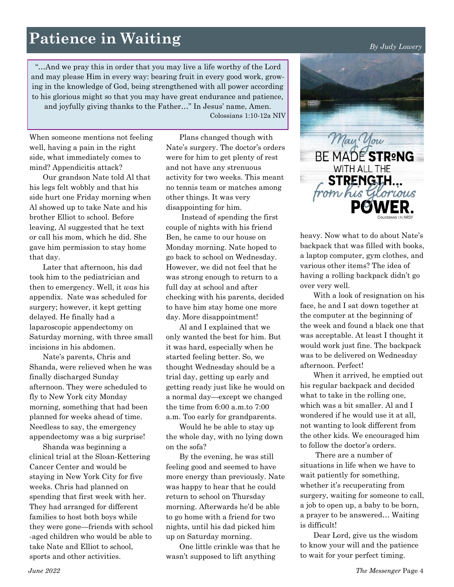# **Patience in Waiting** *By Judy Lowery*

"…And we pray this in order that you may live a life worthy of the Lord and may please Him in every way: bearing fruit in every good work, growing in the knowledge of God, being strengthened with all power according to his glorious might so that you may have great endurance and patience, and joyfully giving thanks to the Father…" In Jesus' name, Amen.

Colossians 1:10-12a NIV

When someone mentions not feeling well, having a pain in the right side, what immediately comes to mind? Appendicitis attack?

Our grandson Nate told Al that his legs felt wobbly and that his side hurt one Friday morning when Al showed up to take Nate and his brother Elliot to school. Before leaving, Al suggested that he text or call his mom, which he did. She gave him permission to stay home that day.

Later that afternoon, his dad took him to the pediatrician and then to emergency. Well, it *was* his appendix. Nate was scheduled for surgery; however, it kept getting delayed. He finally had a laparoscopic appendectomy on Saturday morning, with three small incisions in his abdomen.

Nate's parents, Chris and Shanda, were relieved when he was finally discharged Sunday afternoon. They were scheduled to fly to New York city Monday morning, something that had been planned for weeks ahead of time. Needless to say, the emergency appendectomy was a big surprise!

Shanda was beginning a clinical trial at the Sloan-Kettering Cancer Center and would be staying in New York City for five weeks. Chris had planned on spending that first week with her. They had arranged for different families to host both boys while they were gone—friends with school -aged children who would be able to take Nate and Elliot to school, sports and other activities.

Plans changed though with Nate's surgery. The doctor's orders were for him to get plenty of rest and not have any strenuous activity for two weeks. This meant no tennis team or matches among other things. It was very disappointing for him.

Instead of spending the first couple of nights with his friend Ben, he came to our house on Monday morning. Nate hoped to go back to school on Wednesday. However, we did not feel that he was strong enough to return to a full day at school and after checking with his parents, decided to have him stay home one more day. More disappointment!

Al and I explained that we only wanted the best for him. But it was hard, especially when he started feeling better. So, we thought Wednesday should be a trial day, getting up early and getting ready just like he would on a normal day—except we changed the time from 6:00 a.m.to 7:00 a.m. Too early for grandparents.

Would he be able to stay up the whole day, with no lying down on the sofa?

By the evening, he was still feeling good and seemed to have more energy than previously. Nate was happy to hear that he could return to school on Thursday morning. Afterwards he'd be able to go home with a friend for two nights, until his dad picked him up on Saturday morning.

One little crinkle was that he wasn't supposed to lift anything



heavy. Now what to do about Nate's backpack that was filled with books, a laptop computer, gym clothes, and various other items? The idea of having a rolling backpack didn't go over very well.

With a look of resignation on his face, he and I sat down together at the computer at the beginning of the week and found a black one that was acceptable. At least I thought it would work just fine. The backpack was to be delivered on Wednesday afternoon. Perfect!

When it arrived, he emptied out his regular backpack and decided what to take in the rolling one, which was a bit smaller. Al and I wondered if he would use it at all, not wanting to look different from the other kids. We encouraged him to follow the doctor's orders.

There are a number of situations in life when we have to wait patiently for something, whether it's recuperating from surgery, waiting for someone to call, a job to open up, a baby to be born, a prayer to be answered… Waiting is difficult!

Dear Lord, give us the wisdom to know your will and the patience to wait for your perfect timing.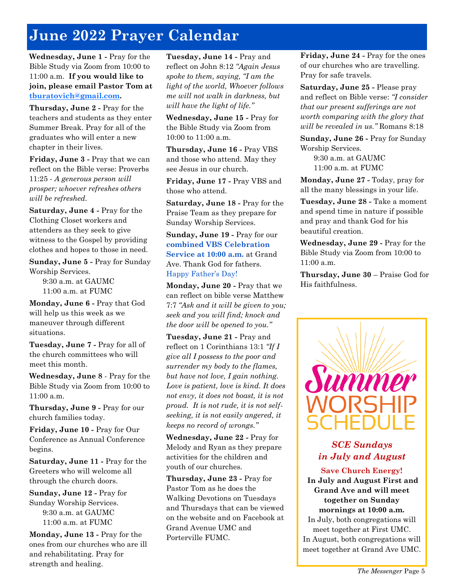# **June 2022 Prayer Calendar**

**Wednesday, June 1 -** Pray for the Bible Study via Zoom from 10:00 to 11:00 a.m. **If you would like to join, please email Pastor Tom at [tburatovich@gmail.com.](mailto:tburatovich@gmail.com)**

**Thursday, June 2 -** Pray for the teachers and students as they enter Summer Break. Pray for all of the graduates who will enter a new chapter in their lives.

**Friday, June 3 -** Pray that we can reflect on the Bible verse: Proverbs 11:25 - *A generous person will prosper; whoever refreshes others will be refreshed.*

**Saturday, June 4 -** Pray for the Clothing Closet workers and attenders as they seek to give witness to the Gospel by providing clothes and hopes to those in need.

**Sunday, June 5 -** Pray for Sunday Worship Services.

9:30 a.m. at GAUMC 11:00 a.m. at FUMC

**Monday, June 6 -** Pray that God will help us this week as we maneuver through different situations.

**Tuesday, June 7 -** Pray for all of the church committees who will meet this month.

**Wednesday, June 8** - Pray for the Bible Study via Zoom from 10:00 to 11:00 a.m.

**Thursday, June 9 -** Pray for our church families today.

**Friday, June 10 -** Pray for Our Conference as Annual Conference begins.

**Saturday, June 11 -** Pray for the Greeters who will welcome all through the church doors.

**Sunday, June 12 -** Pray for Sunday Worship Services. 9:30 a.m. at GAUMC 11:00 a.m. at FUMC

**Monday, June 13 -** Pray for the ones from our churches who are ill and rehabilitating. Pray for strength and healing.

**Tuesday, June 14 -** Pray and reflect on John 8:12 *"Again Jesus spoke to them, saying, "I am the light of the world, Whoever follows me will not walk in darkness, but will have the light of life."*

**Wednesday, June 15 -** Pray for the Bible Study via Zoom from 10:00 to 11:00 a.m.

**Thursday, June 16 -** Pray VBS and those who attend. May they see Jesus in our church.

**Friday, June 17 -** Pray VBS and those who attend.

**Saturday, June 18 -** Pray for the Praise Team as they prepare for Sunday Worship Services.

**Sunday, June 19 -** Pray for our **combined VBS Celebration Service at 10:00 a.m.** at Grand Ave. Thank God for fathers. Happy Father's Day!

**Monday, June 20 -** Pray that we can reflect on bible verse Matthew 7:7 *"Ask and it will be given to you; seek and you will find; knock and the door will be opened to you."*

**Tuesday, June 21 -** Pray and reflect on 1 Corinthians 13:1 *"If I give all I possess to the poor and surrender my body to the flames, but have not love, I gain nothing. Love is patient, love is kind. It does not envy, it does not boast, it is not proud. It is not rude, it is not selfseeking, it is not easily angered, it keeps no record of wrongs."*

**Wednesday, June 22 -** Pray for Melody and Ryan as they prepare activities for the children and youth of our churches.

**Thursday, June 23 -** Pray for Pastor Tom as he does the Walking Devotions on Tuesdays and Thursdays that can be viewed on the website and on Facebook at Grand Avenue UMC and Porterville FUMC.

**Friday, June 24 -** Pray for the ones of our churches who are travelling. Pray for safe travels.

**Saturday, June 25 -** Please pray and reflect on Bible verse: *"I consider that our present sufferings are not worth comparing with the glory that will be revealed in us."* Romans 8:18

**Sunday, June 26 -** Pray for Sunday Worship Services.

9:30 a.m. at GAUMC 11:00 a.m. at FUMC

**Monday, June 27 -** Today, pray for all the many blessings in your life.

**Tuesday, June 28 -** Take a moment and spend time in nature if possible and pray and thank God for his beautiful creation.

**Wednesday, June 29 -** Pray for the Bible Study via Zoom from 10:00 to  $11:00$  a.m.

**Thursday, June 30** – Praise God for His faithfulness.



## *SCE Sundays in July and August*

**Save Church Energy! In July and August First and Grand Ave and will meet together on Sunday mornings at 10:00 a.m.**  In July, both congregations will meet together at First UMC. In August, both congregations will meet together at Grand Ave UMC.